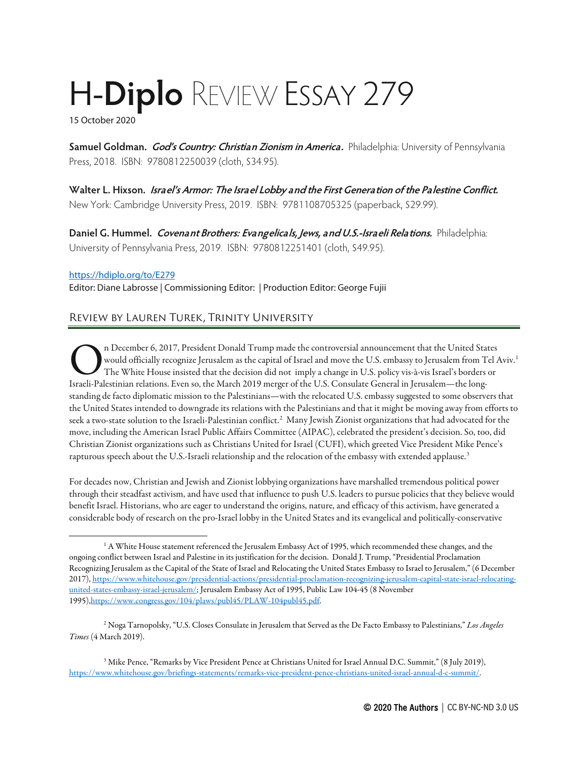## H-**Diplo** REVIEW ESSAY 279

15 October 2020

**Samuel Goldman. God's Country: Christian Zionism in America.** Philadelphia: University of Pennsylvania Press, 2018. ISBN: 9780812250039 (cloth, \$34.95).

**Walter L. Hixson. Israel's Armor: The Israel Lobby and the First Generation of the Palestine Conflict.** New York: Cambridge University Press, 2019. ISBN: 9781108705325 (paperback, \$29.99).

**Daniel G. Hummel. Covenant Brothers: Evangelicals, Jews, and U.S.-Israeli Relations.** Philadelphia: University of Pennsylvania Press, 2019. ISBN: 9780812251401 (cloth, \$49.95).

## <https://hdiplo.org/to/E279>

Editor: Diane Labrosse | Commissioning Editor: | Production Editor: George Fujii

## Review by Lauren Turek, Trinity University

n December 6, 2017, President Donald Trump made the controversial announcement that the United States would officially recognize Jerusalem as the capital of Israel and move the U.S. embassy to Jerusalem from Tel Aviv.[1](#page-0-0) The White House insisted that the decision did not imply a change in U.S. policy vis-à-vis Israel's borders or ISRAELI-Palestinian relations. Even so, the March 2019 merger of the U.S. Consulate General in Jerusalem from T<br>Israeli-Palestinian relations. Even so, the March 2019 merger of the U.S. Consulate General in Jerusalem—the l standing de facto diplomatic mission to the Palestinians—with the relocated U.S. embassy suggested to some observers that the United States intended to downgrade its relations with the Palestinians and that it might be moving away from efforts to seek a two-state solution to the Israeli-Palestinian conflict. $^2$  $^2$  Many Jewish Zionist organizations that had advocated for the move, including the American Israel Public Affairs Committee (AIPAC), celebrated the president's decision. So, too, did Christian Zionist organizations such as Christians United for Israel (CUFI), which greeted Vice President Mike Pence's rapturous speech about the U.S.-Israeli relationship and the relocation of the embassy with extended applause.<sup>[3](#page-0-2)</sup>

For decades now, Christian and Jewish and Zionist lobbying organizations have marshalled tremendous political power through their steadfast activism, and have used that influence to push U.S. leaders to pursue policies that they believe would benefit Israel. Historians, who are eager to understand the origins, nature, and efficacy of this activism, have generated a considerable body of research on the pro-Israel lobby in the United States and its evangelical and politically-conservative

<span id="page-0-1"></span><sup>2</sup> Noga Tarnopolsky, "U.S. Closes Consulate in Jerusalem that Served as the De Facto Embassy to Palestinians," *Los Angeles Times* (4 March 2019).

<span id="page-0-2"></span><sup>3</sup> Mike Pence, "Remarks by Vice President Pence at Christians United for Israel Annual D.C. Summit," (8 July 2019), [https://www.whitehouse.gov/briefings-statements/remarks-vice-president-pence-christians-united-israel-annual-d-c-summit/.](https://www.whitehouse.gov/briefings-statements/remarks-vice-president-pence-christians-united-israel-annual-d-c-summit/) 

<span id="page-0-0"></span> $1$  A White House statement referenced the Jerusalem Embassy Act of 1995, which recommended these changes, and the ongoing conflict between Israel and Palestine in its justification for the decision. Donald J. Trump, "Presidential Proclamation Recognizing Jerusalem as the Capital of the State of Israel and Relocating the United States Embassy to Israel to Jerusalem," (6 December 2017)[, https://www.whitehouse.gov/presidential-actions/presidential-proclamation-recognizing-jerusalem-capital-state-israel-relocating](https://www.whitehouse.gov/presidential-actions/presidential-proclamation-recognizing-jerusalem-capital-state-israel-relocating-united-states-embassy-israel-jerusalem/)[united-states-embassy-israel-jerusalem/;](https://www.whitehouse.gov/presidential-actions/presidential-proclamation-recognizing-jerusalem-capital-state-israel-relocating-united-states-embassy-israel-jerusalem/) Jerusalem Embassy Act of 1995, Public Law 104-45 (8 November 1995[\),https://www.congress.gov/104/plaws/publ45/PLAW-104publ45.pdf.](https://www.congress.gov/104/plaws/publ45/PLAW-104publ45.pdf)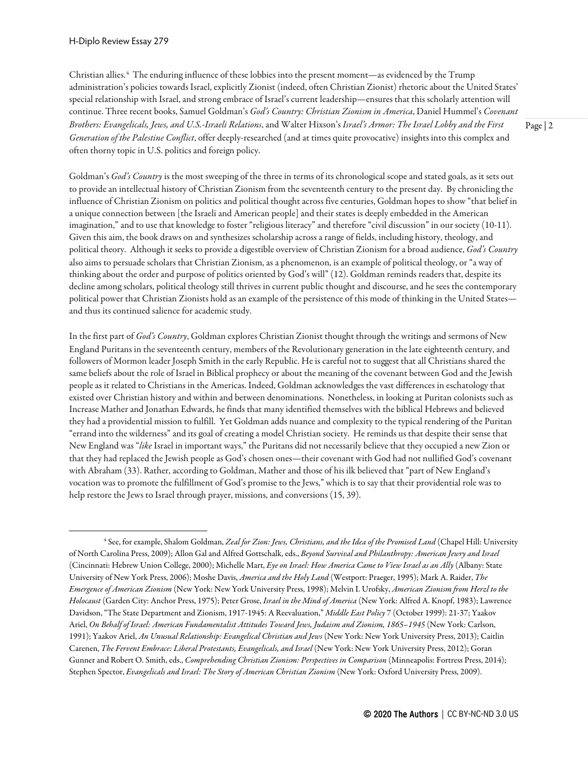Christian allies.[4](#page-1-0) The enduring influence of these lobbies into the present moment—as evidenced by the Trump administration's policies towards Israel, explicitly Zionist (indeed, often Christian Zionist) rhetoric about the United States' special relationship with Israel, and strong embrace of Israel's current leadership—ensures that this scholarly attention will continue. Three recent books, Samuel Goldman's *God's Country: Christian Zionism in America*, Daniel Hummel's *Covenant Brothers: Evangelicals, Jews, and U.S.-Israeli Relations*, and Walter Hixson's *Israel's Armor: The Israel Lobby and the First Generation of the Palestine Conflict*, offer deeply-researched (and at times quite provocative) insights into this complex and often thorny topic in U.S. politics and foreign policy.

Goldman's *God's Country* is the most sweeping of the three in terms of its chronological scope and stated goals, as it sets out to provide an intellectual history of Christian Zionism from the seventeenth century to the present day. By chronicling the influence of Christian Zionism on politics and political thought across five centuries, Goldman hopes to show "that belief in a unique connection between [the Israeli and American people] and their states is deeply embedded in the American imagination," and to use that knowledge to foster "religious literacy" and therefore "civil discussion" in our society (10-11). Given this aim, the book draws on and synthesizes scholarship across a range of fields, including history, theology, and political theory. Although it seeks to provide a digestible overview of Christian Zionism for a broad audience, *God's Country*  also aims to persuade scholars that Christian Zionism, as a phenomenon, is an example of political theology, or "a way of thinking about the order and purpose of politics oriented by God's will" (12). Goldman reminds readers that, despite its decline among scholars, political theology still thrives in current public thought and discourse, and he sees the contemporary political power that Christian Zionists hold as an example of the persistence of this mode of thinking in the United States and thus its continued salience for academic study.

In the first part of *God's Country*, Goldman explores Christian Zionist thought through the writings and sermons of New England Puritans in the seventeenth century, members of the Revolutionary generation in the late eighteenth century, and followers of Mormon leader Joseph Smith in the early Republic. He is careful not to suggest that all Christians shared the same beliefs about the role of Israel in Biblical prophecy or about the meaning of the covenant between God and the Jewish people as it related to Christians in the Americas. Indeed, Goldman acknowledges the vast differences in eschatology that existed over Christian history and within and between denominations. Nonetheless, in looking at Puritan colonists such as Increase Mather and Jonathan Edwards, he finds that many identified themselves with the biblical Hebrews and believed they had a providential mission to fulfill. Yet Goldman adds nuance and complexity to the typical rendering of the Puritan "errand into the wilderness" and its goal of creating a model Christian society. He reminds us that despite their sense that New England was "*like* Israel in important ways," the Puritans did not necessarily believe that they occupied a new Zion or that they had replaced the Jewish people as God's chosen ones—their covenant with God had not nullified God's covenant with Abraham (33). Rather, according to Goldman, Mather and those of his ilk believed that "part of New England's vocation was to promote the fulfillment of God's promise to the Jews," which is to say that their providential role was to help restore the Jews to Israel through prayer, missions, and conversions (15, 39).

<span id="page-1-0"></span><sup>4</sup> See, for example, Shalom Goldman, *Zeal for Zion: Jews, Christians, and the Idea of the Promised Land* (Chapel Hill: University of North Carolina Press, 2009); Allon Gal and Alfred Gottschalk, eds., *Beyond Survival and Philanthropy: American Jewry and Israel* (Cincinnati: Hebrew Union College, 2000); Michelle Mart, *Eye on Israel: How America Came to View Israel as an Ally* (Albany: State University of New York Press, 2006); Moshe Davis, *America and the Holy Land* (Westport: Praeger, 1995); Mark A. Raider, *The Emergence of American Zionism* (New York: New York University Press, 1998); Melvin I. Urofsky, *American Zionism from Herzl to the Holocaust* (Garden City: Anchor Press, 1975); Peter Grose, *Israel in the Mind of America* (New York: Alfred A. Knopf, 1983); Lawrence Davidson, "The State Department and Zionism, 1917-1945: A Reevaluation," *Middle East Policy* 7 (October 1999): 21-37; Yaakov Ariel, *On Behalf of Israel: American Fundamentalist Attitudes Toward Jews, Judaism and Zionism, 1865–1945* (New York: Carlson, 1991); Yaakov Ariel, *An Unusual Relationship: Evangelical Christian and Jews* (New York: New York University Press, 2013); Caitlin Carenen, *The Fervent Embrace: Liberal Protestants, Evangelicals, and Israel* (New York: New York University Press, 2012); Goran Gunner and Robert O. Smith, eds., *Comprehending Christian Zionism: Perspectives in Comparison* (Minneapolis: Fortress Press, 2014); Stephen Spector, *Evangelicals and Israel: The Story of American Christian Zionism* (New York: Oxford University Press, 2009).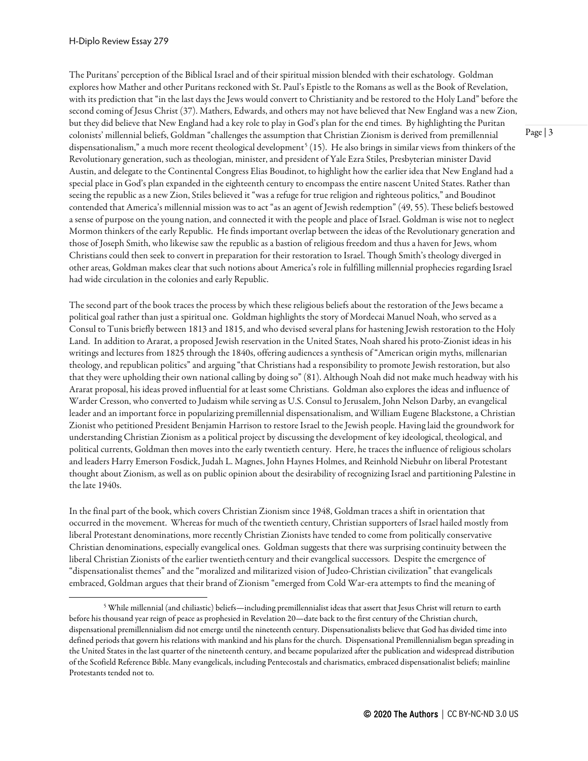The Puritans' perception of the Biblical Israel and of their spiritual mission blended with their eschatology. Goldman explores how Mather and other Puritans reckoned with St. Paul's Epistle to the Romans as well as the Book of Revelation, with its prediction that "in the last days the Jews would convert to Christianity and be restored to the Holy Land" before the second coming of Jesus Christ (37). Mathers, Edwards, and others may not have believed that New England was a new Zion, but they did believe that New England had a key role to play in God's plan for the end times. By highlighting the Puritan colonists' millennial beliefs, Goldman "challenges the assumption that Christian Zionism is derived from premillennial dispensationalism," a much more recent theological development<sup>[5](#page-2-0)</sup> (15). He also brings in similar views from thinkers of the Revolutionary generation, such as theologian, minister, and president of Yale Ezra Stiles, Presbyterian minister David Austin, and delegate to the Continental Congress Elias Boudinot, to highlight how the earlier idea that New England had a special place in God's plan expanded in the eighteenth century to encompass the entire nascent United States. Rather than seeing the republic as a new Zion, Stiles believed it "was a refuge for true religion and righteous politics," and Boudinot contended that America's millennial mission was to act "as an agent of Jewish redemption" (49, 55). These beliefs bestowed a sense of purpose on the young nation, and connected it with the people and place of Israel. Goldman is wise not to neglect Mormon thinkers of the early Republic. He finds important overlap between the ideas of the Revolutionary generation and those of Joseph Smith, who likewise saw the republic as a bastion of religious freedom and thus a haven for Jews, whom Christians could then seek to convert in preparation for their restoration to Israel. Though Smith's theology diverged in other areas, Goldman makes clear that such notions about America's role in fulfilling millennial prophecies regarding Israel had wide circulation in the colonies and early Republic.

The second part of the book traces the process by which these religious beliefs about the restoration of the Jews became a political goal rather than just a spiritual one. Goldman highlights the story of Mordecai Manuel Noah, who served as a Consul to Tunis briefly between 1813 and 1815, and who devised several plans for hastening Jewish restoration to the Holy Land. In addition to Ararat, a proposed Jewish reservation in the United States, Noah shared his proto-Zionist ideas in his writings and lectures from 1825 through the 1840s, offering audiences a synthesis of "American origin myths, millenarian theology, and republican politics" and arguing "that Christians had a responsibility to promote Jewish restoration, but also that they were upholding their own national calling by doing so" (81). Although Noah did not make much headway with his Ararat proposal, his ideas proved influential for at least some Christians. Goldman also explores the ideas and influence of Warder Cresson, who converted to Judaism while serving as U.S. Consul to Jerusalem, John Nelson Darby, an evangelical leader and an important force in popularizing premillennial dispensationalism, and William Eugene Blackstone, a Christian Zionist who petitioned President Benjamin Harrison to restore Israel to the Jewish people. Having laid the groundwork for understanding Christian Zionism as a political project by discussing the development of key ideological, theological, and political currents, Goldman then moves into the early twentieth century. Here, he traces the influence of religious scholars and leaders Harry Emerson Fosdick, Judah L. Magnes, John Haynes Holmes, and Reinhold Niebuhr on liberal Protestant thought about Zionism, as well as on public opinion about the desirability of recognizing Israel and partitioning Palestine in the late 1940s.

In the final part of the book, which covers Christian Zionism since 1948, Goldman traces a shift in orientation that occurred in the movement. Whereas for much of the twentieth century, Christian supporters of Israel hailed mostly from liberal Protestant denominations, more recently Christian Zionists have tended to come from politically conservative Christian denominations, especially evangelical ones. Goldman suggests that there was surprising continuity between the liberal Christian Zionists of the earlier twentieth century and their evangelical successors. Despite the emergence of "dispensationalist themes" and the "moralized and militarized vision of Judeo-Christian civilization" that evangelicals embraced, Goldman argues that their brand of Zionism "emerged from Cold War-era attempts to find the meaning of

<span id="page-2-0"></span><sup>5</sup> While millennial (and chiliastic) beliefs—including premillennialist ideas that assert that Jesus Christ will return to earth before his thousand year reign of peace as prophesied in Revelation 20—date back to the first century of the Christian church, dispensational premillennialism did not emerge until the nineteenth century. Dispensationalists believe that God has divided time into defined periods that govern his relations with mankind and his plans for the church. Dispensational Premillennialism began spreading in the United States in the last quarter of the nineteenth century, and became popularized after the publication and widespread distribution of the Scofield Reference Bible. Many evangelicals, including Pentecostals and charismatics, embraced dispensationalist beliefs; mainline Protestants tended not to.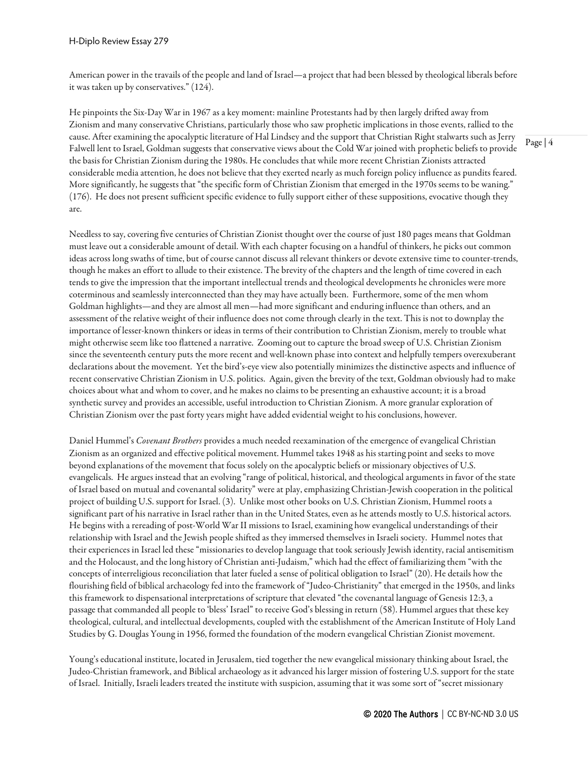## H-Diplo Review Essay 279

American power in the travails of the people and land of Israel—a project that had been blessed by theological liberals before it was taken up by conservatives." (124).

He pinpoints the Six-Day War in 1967 as a key moment: mainline Protestants had by then largely drifted away from Zionism and many conservative Christians, particularly those who saw prophetic implications in those events, rallied to the cause. After examining the apocalyptic literature of Hal Lindsey and the support that Christian Right stalwarts such as Jerry Falwell lent to Israel, Goldman suggests that conservative views about the Cold War joined with prophetic beliefs to provide the basis for Christian Zionism during the 1980s. He concludes that while more recent Christian Zionists attracted considerable media attention, he does not believe that they exerted nearly as much foreign policy influence as pundits feared. More significantly, he suggests that "the specific form of Christian Zionism that emerged in the 1970s seems to be waning." (176). He does not present sufficient specific evidence to fully support either of these suppositions, evocative though they are.

Needless to say, covering five centuries of Christian Zionist thought over the course of just 180 pages means that Goldman must leave out a considerable amount of detail. With each chapter focusing on a handful of thinkers, he picks out common ideas across long swaths of time, but of course cannot discuss all relevant thinkers or devote extensive time to counter-trends, though he makes an effort to allude to their existence. The brevity of the chapters and the length of time covered in each tends to give the impression that the important intellectual trends and theological developments he chronicles were more coterminous and seamlessly interconnected than they may have actually been. Furthermore, some of the men whom Goldman highlights—and they are almost all men—had more significant and enduring influence than others, and an assessment of the relative weight of their influence does not come through clearly in the text. This is not to downplay the importance of lesser-known thinkers or ideas in terms of their contribution to Christian Zionism, merely to trouble what might otherwise seem like too flattened a narrative. Zooming out to capture the broad sweep of U.S. Christian Zionism since the seventeenth century puts the more recent and well-known phase into context and helpfully tempers overexuberant declarations about the movement. Yet the bird's-eye view also potentially minimizes the distinctive aspects and influence of recent conservative Christian Zionism in U.S. politics. Again, given the brevity of the text, Goldman obviously had to make choices about what and whom to cover, and he makes no claims to be presenting an exhaustive account; it is a broad synthetic survey and provides an accessible, useful introduction to Christian Zionism. A more granular exploration of Christian Zionism over the past forty years might have added evidential weight to his conclusions, however.

Daniel Hummel's *Covenant Brothers* provides a much needed reexamination of the emergence of evangelical Christian Zionism as an organized and effective political movement. Hummel takes 1948 as his starting point and seeks to move beyond explanations of the movement that focus solely on the apocalyptic beliefs or missionary objectives of U.S. evangelicals. He argues instead that an evolving "range of political, historical, and theological arguments in favor of the state of Israel based on mutual and covenantal solidarity" were at play, emphasizing Christian-Jewish cooperation in the political project of building U.S. support for Israel. (3). Unlike most other books on U.S. Christian Zionism, Hummel roots a significant part of his narrative in Israel rather than in the United States, even as he attends mostly to U.S. historical actors. He begins with a rereading of post-World War II missions to Israel, examining how evangelical understandings of their relationship with Israel and the Jewish people shifted as they immersed themselves in Israeli society. Hummel notes that their experiences in Israel led these "missionaries to develop language that took seriously Jewish identity, racial antisemitism and the Holocaust, and the long history of Christian anti-Judaism," which had the effect of familiarizing them "with the concepts of interreligious reconciliation that later fueled a sense of political obligation to Israel" (20). He details how the flourishing field of biblical archaeology fed into the framework of "Judeo-Christianity" that emerged in the 1950s, and links this framework to dispensational interpretations of scripture that elevated "the covenantal language of Genesis 12:3, a passage that commanded all people to 'bless' Israel" to receive God's blessing in return (58). Hummel argues that these key theological, cultural, and intellectual developments, coupled with the establishment of the American Institute of Holy Land Studies by G. Douglas Young in 1956, formed the foundation of the modern evangelical Christian Zionist movement.

Young's educational institute, located in Jerusalem, tied together the new evangelical missionary thinking about Israel, the Judeo-Christian framework, and Biblical archaeology as it advanced his larger mission of fostering U.S. support for the state of Israel. Initially, Israeli leaders treated the institute with suspicion, assuming that it was some sort of "secret missionary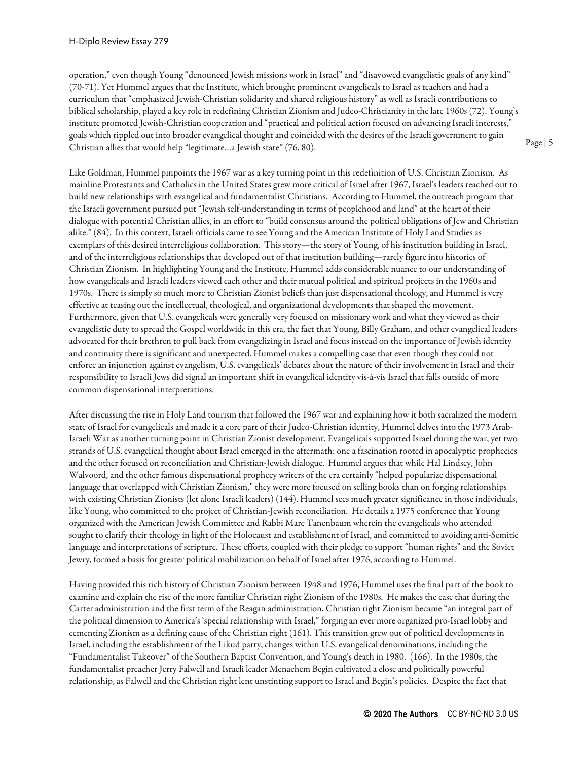operation," even though Young "denounced Jewish missions work in Israel" and "disavowed evangelistic goals of any kind" (70-71). Yet Hummel argues that the Institute, which brought prominent evangelicals to Israel as teachers and had a curriculum that "emphasized Jewish-Christian solidarity and shared religious history" as well as Israeli contributions to biblical scholarship, played a key role in redefining Christian Zionism and Judeo-Christianity in the late 1960s (72). Young's institute promoted Jewish-Christian cooperation and "practical and political action focused on advancing Israeli interests," goals which rippled out into broader evangelical thought and coincided with the desires of the Israeli government to gain Christian allies that would help "legitimate…a Jewish state" (76, 80).

Like Goldman, Hummel pinpoints the 1967 war as a key turning point in this redefinition of U.S. Christian Zionism. As mainline Protestants and Catholics in the United States grew more critical of Israel after 1967, Israel's leaders reached out to build new relationships with evangelical and fundamentalist Christians. According to Hummel, the outreach program that the Israeli government pursued put "Jewish self-understanding in terms of peoplehood and land" at the heart of their dialogue with potential Christian allies, in an effort to "build consensus around the political obligations of Jew and Christian alike." (84). In this context, Israeli officials came to see Young and the American Institute of Holy Land Studies as exemplars of this desired interreligious collaboration. This story—the story of Young, of his institution building in Israel, and of the interreligious relationships that developed out of that institution building—rarely figure into histories of Christian Zionism. In highlighting Young and the Institute, Hummel adds considerable nuance to our understanding of how evangelicals and Israeli leaders viewed each other and their mutual political and spiritual projects in the 1960s and 1970s. There is simply so much more to Christian Zionist beliefs than just dispensational theology, and Hummel is very effective at teasing out the intellectual, theological, and organizational developments that shaped the movement. Furthermore, given that U.S. evangelicals were generally very focused on missionary work and what they viewed as their evangelistic duty to spread the Gospel worldwide in this era, the fact that Young, Billy Graham, and other evangelical leaders advocated for their brethren to pull back from evangelizing in Israel and focus instead on the importance of Jewish identity and continuity there is significant and unexpected. Hummel makes a compelling case that even though they could not enforce an injunction against evangelism, U.S. evangelicals' debates about the nature of their involvement in Israel and their responsibility to Israeli Jews did signal an important shift in evangelical identity vis-à-vis Israel that falls outside of more common dispensational interpretations.

After discussing the rise in Holy Land tourism that followed the 1967 war and explaining how it both sacralized the modern state of Israel for evangelicals and made it a core part of their Judeo-Christian identity, Hummel delves into the 1973 Arab-Israeli War as another turning point in Christian Zionist development. Evangelicals supported Israel during the war, yet two strands of U.S. evangelical thought about Israel emerged in the aftermath: one a fascination rooted in apocalyptic prophecies and the other focused on reconciliation and Christian-Jewish dialogue. Hummel argues that while Hal Lindsey, John Walvoord, and the other famous dispensational prophecy writers of the era certainly "helped popularize dispensational language that overlapped with Christian Zionism," they were more focused on selling books than on forging relationships with existing Christian Zionists (let alone Israeli leaders) (144). Hummel sees much greater significance in those individuals, like Young, who committed to the project of Christian-Jewish reconciliation. He details a 1975 conference that Young organized with the American Jewish Committee and Rabbi Marc Tanenbaum wherein the evangelicals who attended sought to clarify their theology in light of the Holocaust and establishment of Israel, and committed to avoiding anti-Semitic language and interpretations of scripture. These efforts, coupled with their pledge to support "human rights" and the Soviet Jewry, formed a basis for greater political mobilization on behalf of Israel after 1976, according to Hummel.

Having provided this rich history of Christian Zionism between 1948 and 1976, Hummel uses the final part of the book to examine and explain the rise of the more familiar Christian right Zionism of the 1980s. He makes the case that during the Carter administration and the first term of the Reagan administration, Christian right Zionism became "an integral part of the political dimension to America's 'special relationship with Israel," forging an ever more organized pro-Israel lobby and cementing Zionism as a defining cause of the Christian right (161). This transition grew out of political developments in Israel, including the establishment of the Likud party, changes within U.S. evangelical denominations, including the "Fundamentalist Takeover" of the Southern Baptist Convention, and Young's death in 1980. (166). In the 1980s, the fundamentalist preacher Jerry Falwell and Israeli leader Menachem Begin cultivated a close and politically powerful relationship, as Falwell and the Christian right lent unstinting support to Israel and Begin's policies. Despite the fact that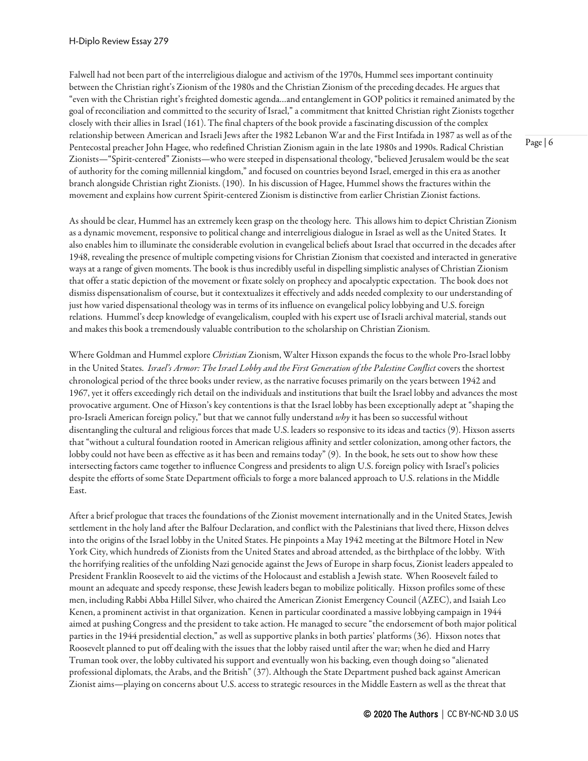Falwell had not been part of the interreligious dialogue and activism of the 1970s, Hummel sees important continuity between the Christian right's Zionism of the 1980s and the Christian Zionism of the preceding decades. He argues that "even with the Christian right's freighted domestic agenda…and entanglement in GOP politics it remained animated by the goal of reconciliation and committed to the security of Israel," a commitment that knitted Christian right Zionists together closely with their allies in Israel (161). The final chapters of the book provide a fascinating discussion of the complex relationship between American and Israeli Jews after the 1982 Lebanon War and the First Intifada in 1987 as well as of the Pentecostal preacher John Hagee, who redefined Christian Zionism again in the late 1980s and 1990s. Radical Christian Zionists—"Spirit-centered" Zionists—who were steeped in dispensational theology, "believed Jerusalem would be the seat of authority for the coming millennial kingdom," and focused on countries beyond Israel, emerged in this era as another branch alongside Christian right Zionists. (190). In his discussion of Hagee, Hummel shows the fractures within the movement and explains how current Spirit-centered Zionism is distinctive from earlier Christian Zionist factions.

As should be clear, Hummel has an extremely keen grasp on the theology here. This allows him to depict Christian Zionism as a dynamic movement, responsive to political change and interreligious dialogue in Israel as well as the United States. It also enables him to illuminate the considerable evolution in evangelical beliefs about Israel that occurred in the decades after 1948, revealing the presence of multiple competing visions for Christian Zionism that coexisted and interacted in generative ways at a range of given moments. The book is thus incredibly useful in dispelling simplistic analyses of Christian Zionism that offer a static depiction of the movement or fixate solely on prophecy and apocalyptic expectation. The book does not dismiss dispensationalism of course, but it contextualizes it effectively and adds needed complexity to our understanding of just how varied dispensational theology was in terms of its influence on evangelical policy lobbying and U.S. foreign relations. Hummel's deep knowledge of evangelicalism, coupled with his expert use of Israeli archival material, stands out and makes this book a tremendously valuable contribution to the scholarship on Christian Zionism.

Where Goldman and Hummel explore *Christian* Zionism, Walter Hixson expands the focus to the whole Pro-Israel lobby in the United States. *Israel's Armor: The Israel Lobby and the First Generation of the Palestine Conflict* covers the shortest chronological period of the three books under review, as the narrative focuses primarily on the years between 1942 and 1967, yet it offers exceedingly rich detail on the individuals and institutions that built the Israel lobby and advances the most provocative argument. One of Hixson's key contentions is that the Israel lobby has been exceptionally adept at "shaping the pro-Israeli American foreign policy," but that we cannot fully understand *why* it has been so successful without disentangling the cultural and religious forces that made U.S. leaders so responsive to its ideas and tactics (9). Hixson asserts that "without a cultural foundation rooted in American religious affinity and settler colonization, among other factors, the lobby could not have been as effective as it has been and remains today" (9). In the book, he sets out to show how these intersecting factors came together to influence Congress and presidents to align U.S. foreign policy with Israel's policies despite the efforts of some State Department officials to forge a more balanced approach to U.S. relations in the Middle East.

After a brief prologue that traces the foundations of the Zionist movement internationally and in the United States, Jewish settlement in the holy land after the Balfour Declaration, and conflict with the Palestinians that lived there, Hixson delves into the origins of the Israel lobby in the United States. He pinpoints a May 1942 meeting at the Biltmore Hotel in New York City, which hundreds of Zionists from the United States and abroad attended, as the birthplace of the lobby. With the horrifying realities of the unfolding Nazi genocide against the Jews of Europe in sharp focus, Zionist leaders appealed to President Franklin Roosevelt to aid the victims of the Holocaust and establish a Jewish state. When Roosevelt failed to mount an adequate and speedy response, these Jewish leaders began to mobilize politically. Hixson profiles some of these men, including Rabbi Abba Hillel Silver, who chaired the American Zionist Emergency Council (AZEC), and Isaiah Leo Kenen, a prominent activist in that organization. Kenen in particular coordinated a massive lobbying campaign in 1944 aimed at pushing Congress and the president to take action. He managed to secure "the endorsement of both major political parties in the 1944 presidential election," as well as supportive planks in both parties' platforms (36). Hixson notes that Roosevelt planned to put off dealing with the issues that the lobby raised until after the war; when he died and Harry Truman took over, the lobby cultivated his support and eventually won his backing, even though doing so "alienated professional diplomats, the Arabs, and the British" (37). Although the State Department pushed back against American Zionist aims—playing on concerns about U.S. access to strategic resources in the Middle Eastern as well as the threat that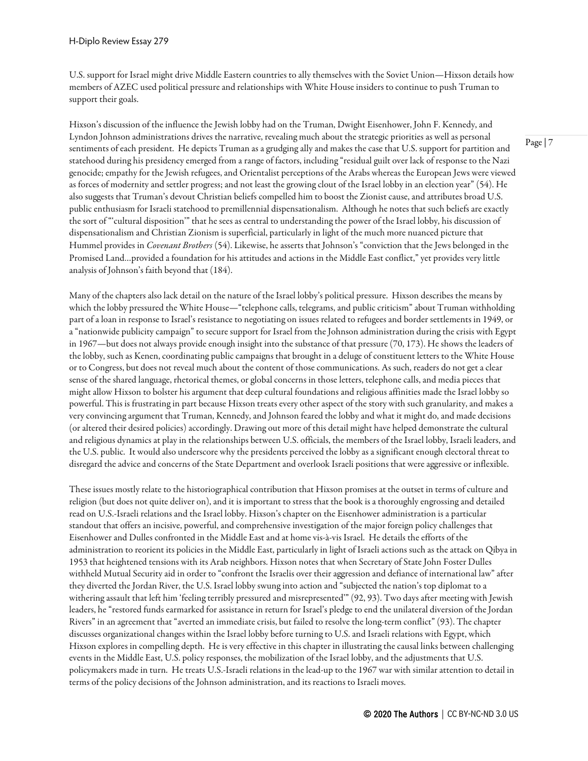U.S. support for Israel might drive Middle Eastern countries to ally themselves with the Soviet Union—Hixson details how members of AZEC used political pressure and relationships with White House insiders to continue to push Truman to support their goals.

Hixson's discussion of the influence the Jewish lobby had on the Truman, Dwight Eisenhower, John F. Kennedy, and Lyndon Johnson administrations drives the narrative, revealing much about the strategic priorities as well as personal sentiments of each president. He depicts Truman as a grudging ally and makes the case that U.S. support for partition and statehood during his presidency emerged from a range of factors, including "residual guilt over lack of response to the Nazi genocide; empathy for the Jewish refugees, and Orientalist perceptions of the Arabs whereas the European Jews were viewed as forces of modernity and settler progress; and not least the growing clout of the Israel lobby in an election year" (54). He also suggests that Truman's devout Christian beliefs compelled him to boost the Zionist cause, and attributes broad U.S. public enthusiasm for Israeli statehood to premillennial dispensationalism. Although he notes that such beliefs are exactly the sort of "'cultural disposition'" that he sees as central to understanding the power of the Israel lobby, his discussion of dispensationalism and Christian Zionism is superficial, particularly in light of the much more nuanced picture that Hummel provides in *Covenant Brothers* (54). Likewise, he asserts that Johnson's "conviction that the Jews belonged in the Promised Land…provided a foundation for his attitudes and actions in the Middle East conflict," yet provides very little analysis of Johnson's faith beyond that (184).

Many of the chapters also lack detail on the nature of the Israel lobby's political pressure. Hixson describes the means by which the lobby pressured the White House—"telephone calls, telegrams, and public criticism" about Truman withholding part of a loan in response to Israel's resistance to negotiating on issues related to refugees and border settlements in 1949, or a "nationwide publicity campaign" to secure support for Israel from the Johnson administration during the crisis with Egypt in 1967—but does not always provide enough insight into the substance of that pressure (70, 173). He shows the leaders of the lobby, such as Kenen, coordinating public campaigns that brought in a deluge of constituent letters to the White House or to Congress, but does not reveal much about the content of those communications. As such, readers do not get a clear sense of the shared language, rhetorical themes, or global concerns in those letters, telephone calls, and media pieces that might allow Hixson to bolster his argument that deep cultural foundations and religious affinities made the Israel lobby so powerful. This is frustrating in part because Hixson treats every other aspect of the story with such granularity, and makes a very convincing argument that Truman, Kennedy, and Johnson feared the lobby and what it might do, and made decisions (or altered their desired policies) accordingly. Drawing out more of this detail might have helped demonstrate the cultural and religious dynamics at play in the relationships between U.S. officials, the members of the Israel lobby, Israeli leaders, and the U.S. public. It would also underscore why the presidents perceived the lobby as a significant enough electoral threat to disregard the advice and concerns of the State Department and overlook Israeli positions that were aggressive or inflexible.

These issues mostly relate to the historiographical contribution that Hixson promises at the outset in terms of culture and religion (but does not quite deliver on), and it is important to stress that the book is a thoroughly engrossing and detailed read on U.S.-Israeli relations and the Israel lobby. Hixson's chapter on the Eisenhower administration is a particular standout that offers an incisive, powerful, and comprehensive investigation of the major foreign policy challenges that Eisenhower and Dulles confronted in the Middle East and at home vis-à-vis Israel. He details the efforts of the administration to reorient its policies in the Middle East, particularly in light of Israeli actions such as the attack on Qibya in 1953 that heightened tensions with its Arab neighbors. Hixson notes that when Secretary of State John Foster Dulles withheld Mutual Security aid in order to "confront the Israelis over their aggression and defiance of international law" after they diverted the Jordan River, the U.S. Israel lobby swung into action and "subjected the nation's top diplomat to a withering assault that left him 'feeling terribly pressured and misrepresented'" (92, 93). Two days after meeting with Jewish leaders, he "restored funds earmarked for assistance in return for Israel's pledge to end the unilateral diversion of the Jordan Rivers" in an agreement that "averted an immediate crisis, but failed to resolve the long-term conflict" (93). The chapter discusses organizational changes within the Israel lobby before turning to U.S. and Israeli relations with Egypt, which Hixson explores in compelling depth. He is very effective in this chapter in illustrating the causal links between challenging events in the Middle East, U.S. policy responses, the mobilization of the Israel lobby, and the adjustments that U.S. policymakers made in turn. He treats U.S.-Israeli relations in the lead-up to the 1967 war with similar attention to detail in terms of the policy decisions of the Johnson administration, and its reactions to Israeli moves.